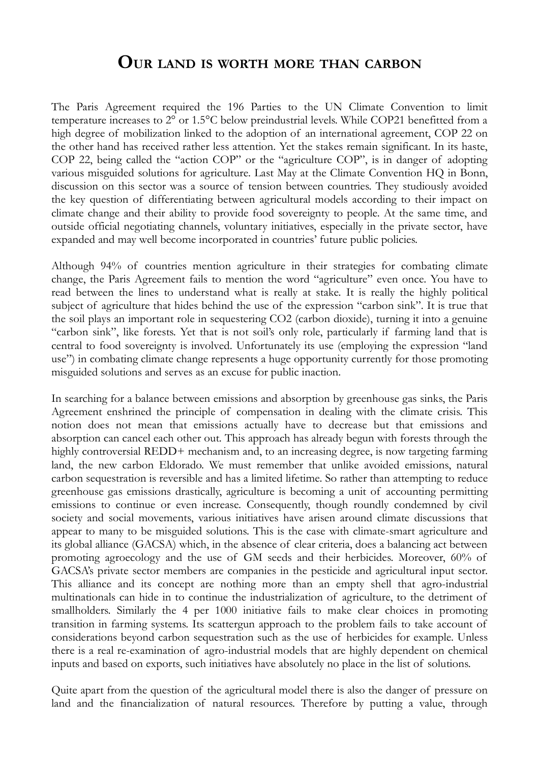## **OUR LAND IS WORTH MORE THAN CARBON**

The Paris Agreement required the 196 Parties to the UN Climate Convention to limit temperature increases to 2° or 1.5°C below preindustrial levels. While COP21 benefitted from a high degree of mobilization linked to the adoption of an international agreement, COP 22 on the other hand has received rather less attention. Yet the stakes remain significant. In its haste, COP 22, being called the "action COP" or the "agriculture COP", is in danger of adopting various misguided solutions for agriculture. Last May at the Climate Convention HQ in Bonn, discussion on this sector was a source of tension between countries. They studiously avoided the key question of differentiating between agricultural models according to their impact on climate change and their ability to provide food sovereignty to people. At the same time, and outside official negotiating channels, voluntary initiatives, especially in the private sector, have expanded and may well become incorporated in countries' future public policies.

Although 94% of countries mention agriculture in their strategies for combating climate change, the Paris Agreement fails to mention the word "agriculture" even once. You have to read between the lines to understand what is really at stake. It is really the highly political subject of agriculture that hides behind the use of the expression "carbon sink". It is true that the soil plays an important role in sequestering CO2 (carbon dioxide), turning it into a genuine "carbon sink", like forests. Yet that is not soil's only role, particularly if farming land that is central to food sovereignty is involved. Unfortunately its use (employing the expression "land use") in combating climate change represents a huge opportunity currently for those promoting misguided solutions and serves as an excuse for public inaction.

In searching for a balance between emissions and absorption by greenhouse gas sinks, the Paris Agreement enshrined the principle of compensation in dealing with the climate crisis. This notion does not mean that emissions actually have to decrease but that emissions and absorption can cancel each other out. This approach has already begun with forests through the highly controversial REDD+ mechanism and, to an increasing degree, is now targeting farming land, the new carbon Eldorado. We must remember that unlike avoided emissions, natural carbon sequestration is reversible and has a limited lifetime. So rather than attempting to reduce greenhouse gas emissions drastically, agriculture is becoming a unit of accounting permitting emissions to continue or even increase. Consequently, though roundly condemned by civil society and social movements, various initiatives have arisen around climate discussions that appear to many to be misguided solutions. This is the case with climate-smart agriculture and its global alliance (GACSA) which, in the absence of clear criteria, does a balancing act between promoting agroecology and the use of GM seeds and their herbicides. Moreover, 60% of GACSA's private sector members are companies in the pesticide and agricultural input sector. This alliance and its concept are nothing more than an empty shell that agro-industrial multinationals can hide in to continue the industrialization of agriculture, to the detriment of smallholders. Similarly the 4 per 1000 initiative fails to make clear choices in promoting transition in farming systems. Its scattergun approach to the problem fails to take account of considerations beyond carbon sequestration such as the use of herbicides for example. Unless there is a real re-examination of agro-industrial models that are highly dependent on chemical inputs and based on exports, such initiatives have absolutely no place in the list of solutions.

Quite apart from the question of the agricultural model there is also the danger of pressure on land and the financialization of natural resources. Therefore by putting a value, through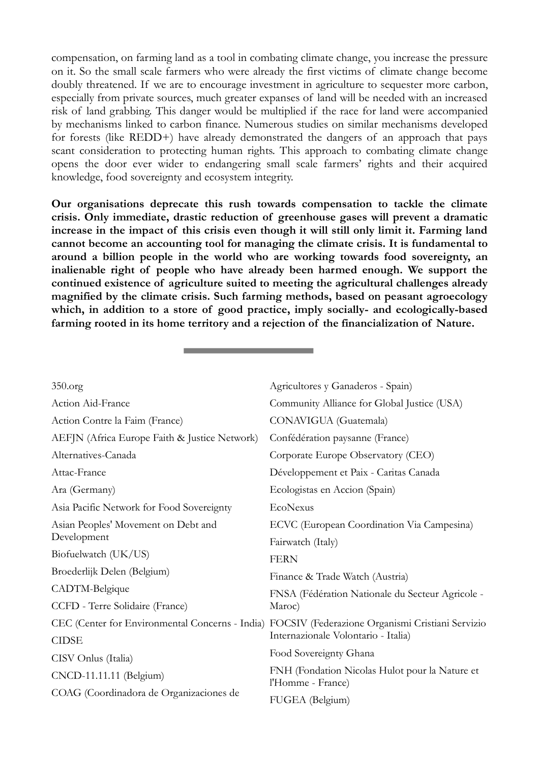compensation, on farming land as a tool in combating climate change, you increase the pressure on it. So the small scale farmers who were already the first victims of climate change become doubly threatened. If we are to encourage investment in agriculture to sequester more carbon, especially from private sources, much greater expanses of land will be needed with an increased risk of land grabbing. This danger would be multiplied if the race for land were accompanied by mechanisms linked to carbon finance. Numerous studies on similar mechanisms developed for forests (like REDD+) have already demonstrated the dangers of an approach that pays scant consideration to protecting human rights. This approach to combating climate change opens the door ever wider to endangering small scale farmers' rights and their acquired knowledge, food sovereignty and ecosystem integrity.

**Our organisations deprecate this rush towards compensation to tackle the climate crisis. Only immediate, drastic reduction of greenhouse gases will prevent a dramatic increase in the impact of this crisis even though it will still only limit it. Farming land cannot become an accounting tool for managing the climate crisis. It is fundamental to around a billion people in the world who are working towards food sovereignty, an inalienable right of people who have already been harmed enough. We support the continued existence of agriculture suited to meeting the agricultural challenges already magnified by the climate crisis. Such farming methods, based on peasant agroecology which, in addition to a store of good practice, imply socially- and ecologically-based farming rooted in its home territory and a rejection of the financialization of Nature.**

| 350.org                                       | Agricultores y Ganaderos - Spain)                                                                |
|-----------------------------------------------|--------------------------------------------------------------------------------------------------|
| Action Aid-France                             | Community Alliance for Global Justice (USA)                                                      |
| Action Contre la Faim (France)                | CONAVIGUA (Guatemala)                                                                            |
| AEFJN (Africa Europe Faith & Justice Network) | Confédération paysanne (France)                                                                  |
| Alternatives-Canada                           | Corporate Europe Observatory (CEO)                                                               |
| Attac-France                                  | Développement et Paix - Caritas Canada                                                           |
| Ara (Germany)                                 | Ecologistas en Accion (Spain)                                                                    |
| Asia Pacific Network for Food Sovereignty     | EcoNexus                                                                                         |
| Asian Peoples' Movement on Debt and           | ECVC (European Coordination Via Campesina)                                                       |
| Development                                   | Fairwatch (Italy)                                                                                |
| Biofuelwatch (UK/US)                          | <b>FERN</b>                                                                                      |
| Broederlijk Delen (Belgium)                   | Finance & Trade Watch (Austria)                                                                  |
| CADTM-Belgique                                | FNSA (Fédération Nationale du Secteur Agricole -                                                 |
| CCFD - Terre Solidaire (France)               | Maroc)                                                                                           |
|                                               | CEC (Center for Environmental Concerns - India) FOCSIV (Federazione Organismi Cristiani Servizio |
| <b>CIDSE</b>                                  | Internazionale Volontario - Italia)                                                              |
| CISV Onlus (Italia)                           | Food Sovereignty Ghana                                                                           |
| CNCD-11.11.11 (Belgium)                       | FNH (Fondation Nicolas Hulot pour la Nature et<br>l'Homme - France)                              |
| COAG (Coordinadora de Organizaciones de       | FUGEA (Belgium)                                                                                  |